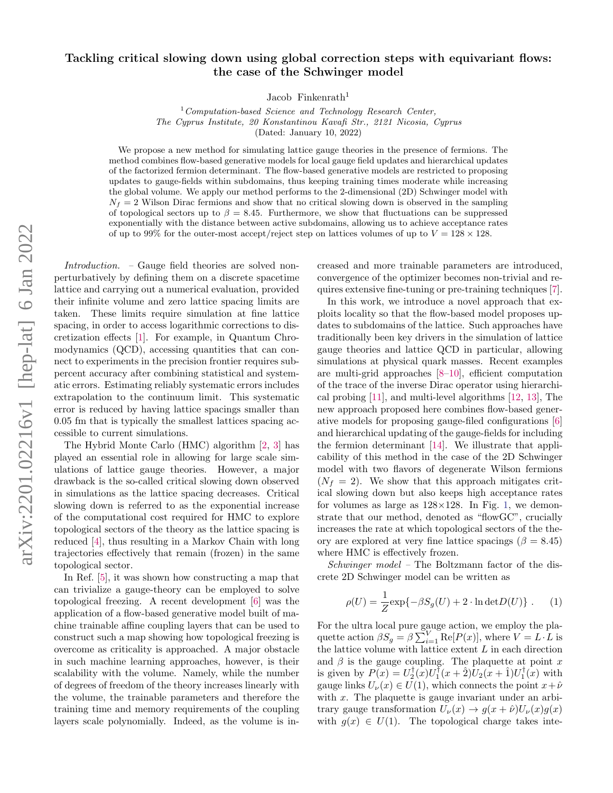## arXiv:2201.02216v1 [hep-lat] 6 Jan 2022 arXiv:2201.02216v1 [hep-lat] 6 Jan 2022

## Tackling critical slowing down using global correction steps with equivariant flows: the case of the Schwinger model

Jacob Finkenrath<sup>1</sup>

 $1$ Computation-based Science and Technology Research Center, The Cyprus Institute, 20 Konstantinou Kavafi Str., 2121 Nicosia, Cyprus (Dated: January 10, 2022)

We propose a new method for simulating lattice gauge theories in the presence of fermions. The method combines flow-based generative models for local gauge field updates and hierarchical updates of the factorized fermion determinant. The flow-based generative models are restricted to proposing updates to gauge-fields within subdomains, thus keeping training times moderate while increasing the global volume. We apply our method performs to the 2-dimensional (2D) Schwinger model with  $N_f = 2$  Wilson Dirac fermions and show that no critical slowing down is observed in the sampling of topological sectors up to  $\beta = 8.45$ . Furthermore, we show that fluctuations can be suppressed exponentially with the distance between active subdomains, allowing us to achieve acceptance rates of up to 99% for the outer-most accept/reject step on lattices volumes of up to  $V = 128 \times 128$ .

Introduction. – Gauge field theories are solved nonperturbatively by defining them on a discrete spacetime lattice and carrying out a numerical evaluation, provided their infinite volume and zero lattice spacing limits are taken. These limits require simulation at fine lattice spacing, in order to access logarithmic corrections to discretization effects [\[1\]](#page-5-0). For example, in Quantum Chromodynamics (QCD), accessing quantities that can connect to experiments in the precision frontier requires subpercent accuracy after combining statistical and systematic errors. Estimating reliably systematic errors includes extrapolation to the continuum limit. This systematic error is reduced by having lattice spacings smaller than 0.05 fm that is typically the smallest lattices spacing accessible to current simulations.

The Hybrid Monte Carlo (HMC) algorithm [\[2,](#page-5-1) [3\]](#page-5-2) has played an essential role in allowing for large scale simulations of lattice gauge theories. However, a major drawback is the so-called critical slowing down observed in simulations as the lattice spacing decreases. Critical slowing down is referred to as the exponential increase of the computational cost required for HMC to explore topological sectors of the theory as the lattice spacing is reduced [\[4\]](#page-5-3), thus resulting in a Markov Chain with long trajectories effectively that remain (frozen) in the same topological sector.

In Ref. [\[5\]](#page-5-4), it was shown how constructing a map that can trivialize a gauge-theory can be employed to solve topological freezing. A recent development [\[6\]](#page-5-5) was the application of a flow-based generative model built of machine trainable affine coupling layers that can be used to construct such a map showing how topological freezing is overcome as criticality is approached. A major obstacle in such machine learning approaches, however, is their scalability with the volume. Namely, while the number of degrees of freedom of the theory increases linearly with the volume, the trainable parameters and therefore the training time and memory requirements of the coupling layers scale polynomially. Indeed, as the volume is increased and more trainable parameters are introduced, convergence of the optimizer becomes non-trivial and requires extensive fine-tuning or pre-training techniques [\[7\]](#page-5-6).

In this work, we introduce a novel approach that exploits locality so that the flow-based model proposes updates to subdomains of the lattice. Such approaches have traditionally been key drivers in the simulation of lattice gauge theories and lattice QCD in particular, allowing simulations at physical quark masses. Recent examples are multi-grid approaches [\[8–](#page-5-7)[10\]](#page-5-8), efficient computation of the trace of the inverse Dirac operator using hierarchical probing [\[11\]](#page-5-9), and multi-level algorithms [\[12,](#page-5-10) [13\]](#page-5-11), The new approach proposed here combines flow-based generative models for proposing gauge-filed configurations [\[6\]](#page-5-5) and hierarchical updating of the gauge-fields for including the fermion determinant [\[14\]](#page-5-12). We illustrate that applicability of this method in the case of the 2D Schwinger model with two flavors of degenerate Wilson fermions  $(N_f = 2)$ . We show that this approach mitigates critical slowing down but also keeps high acceptance rates for volumes as large as  $128\times128$ . In Fig. [1,](#page-1-0) we demonstrate that our method, denoted as "flowGC", crucially increases the rate at which topological sectors of the theory are explored at very fine lattice spacings ( $\beta = 8.45$ ) where HMC is effectively frozen.

Schwinger model – The Boltzmann factor of the discrete 2D Schwinger model can be written as

<span id="page-0-0"></span>
$$
\rho(U) = \frac{1}{Z} \exp\{-\beta S_g(U) + 2 \cdot \ln \det D(U)\} . \tag{1}
$$

For the ultra local pure gauge action, we employ the plaquette action  $\beta S_g = \beta \sum_{i=1}^{V} \text{Re}[P(x)]$ , where  $V = L \cdot L$  is the lattice volume with lattice extent  $L$  in each direction and  $\beta$  is the gauge coupling. The plaquette at point x is given by  $P(x) = U_2^{\dagger}(x)U_1^{\dagger}(x+\hat{2})U_2(x+\hat{1})U_1^{\dagger}(x)$  with gauge links  $U_{\nu}(x) \in U(1)$ , which connects the point  $x + \hat{\nu}$ with  $x$ . The plaquette is gauge invariant under an arbitrary gauge transformation  $U_{\nu}(x) \rightarrow g(x+\hat{\nu})U_{\nu}(x)g(x)$ with  $g(x) \in U(1)$ . The topological charge takes inte-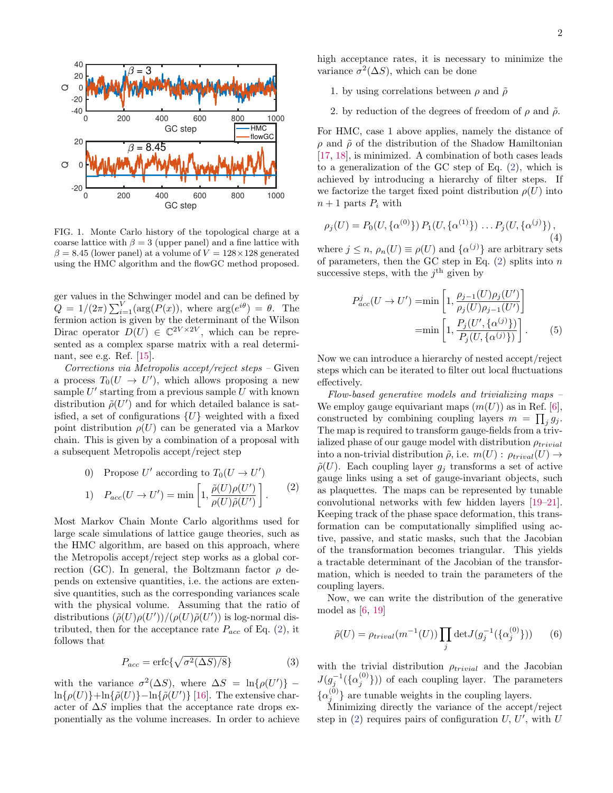

<span id="page-1-0"></span>FIG. 1. Monte Carlo history of the topological charge at a coarse lattice with  $\beta = 3$  (upper panel) and a fine lattice with  $\beta = 8.45$  (lower panel) at a volume of  $V = 128 \times 128$  generated using the HMC algorithm and the flowGC method proposed.

ger values in the Schwinger model and can be defined by  $Q = 1/(2\pi) \sum_{i=1}^{V} (\arg(P(x)), \text{ where } \arg(e^{i\theta}) = \theta.$  The fermion action is given by the determinant of the Wilson Dirac operator  $D(U) \in \mathbb{C}^{2V \times 2V}$ , which can be represented as a complex sparse matrix with a real determinant, see e.g. Ref. [\[15\]](#page-5-13).

Corrections via Metropolis accept/reject steps – Given a process  $T_0(U \to U')$ , which allows proposing a new sample  $U'$  starting from a previous sample  $U$  with known distribution  $\tilde{\rho}(U')$  and for which detailed balance is satisfied, a set of configurations  $\{U\}$  weighted with a fixed point distribution  $\rho(U)$  can be generated via a Markov chain. This is given by a combination of a proposal with a subsequent Metropolis accept/reject step

<span id="page-1-1"></span>\n- 0) Propose 
$$
U'
$$
 according to  $T_0(U \to U')$
\n- 1)  $P_{acc}(U \to U') = \min \left[ 1, \frac{\tilde{\rho}(U)\rho(U')}{\rho(U)\tilde{\rho}(U')} \right].$
\n

Most Markov Chain Monte Carlo algorithms used for large scale simulations of lattice gauge theories, such as the HMC algorithm, are based on this approach, where the Metropolis accept/reject step works as a global correction (GC). In general, the Boltzmann factor  $\rho$  depends on extensive quantities, i.e. the actions are extensive quantities, such as the corresponding variances scale with the physical volume. Assuming that the ratio of distributions  $(\tilde{\rho}(U)\rho(U'))/(\rho(U)\tilde{\rho}(U'))$  is log-normal distributed, then for the acceptance rate  $P_{acc}$  of Eq. [\(2\)](#page-1-1), it follows that

$$
P_{acc} = \text{erfc}\{\sqrt{\sigma^2(\Delta S)/8}\}\tag{3}
$$

with the variance  $\sigma^2(\Delta S)$ , where  $\Delta S = \ln{\rho(U')}$  –  $\ln{\{\rho(U)\}} + \ln{\{\tilde{\rho}(U')\}} - \ln{\{\tilde{\rho}(U')\}}$  [\[16\]](#page-5-14). The extensive character of  $\Delta S$  implies that the acceptance rate drops exponentially as the volume increases. In order to achieve high acceptance rates, it is necessary to minimize the variance  $\sigma^2(\Delta S)$ , which can be done

- 1. by using correlations between  $\rho$  and  $\tilde{\rho}$
- 2. by reduction of the degrees of freedom of  $\rho$  and  $\tilde{\rho}$ .

For HMC, case 1 above applies, namely the distance of  $\rho$  and  $\tilde{\rho}$  of the distribution of the Shadow Hamiltonian [\[17,](#page-5-15) [18\]](#page-5-16), is minimized. A combination of both cases leads to a generalization of the GC step of Eq. [\(2\)](#page-1-1), which is achieved by introducing a hierarchy of filter steps. If we factorize the target fixed point distribution  $\rho(U)$  into  $n+1$  parts  $P_i$  with

<span id="page-1-2"></span>
$$
\rho_j(U) = P_0(U, \{\alpha^{(0)}\}) P_1(U, \{\alpha^{(1)}\}) \dots P_j(U, \{\alpha^{(j)}\}),
$$
\n(4)

where  $j \leq n$ ,  $\rho_n(U) \equiv \rho(U)$  and  $\{\alpha^{(j)}\}$  are arbitrary sets of parameters, then the GC step in Eq.  $(2)$  splits into n successive steps, with the  $j<sup>th</sup>$  given by

$$
P_{acc}^{j}(U \to U') = \min\left[1, \frac{\rho_{j-1}(U)\rho_j(U')}{\rho_j(U)\rho_{j-1}(U')}\right]
$$

$$
= \min\left[1, \frac{P_j(U', {\alpha^{(j)}})}{P_j(U, {\alpha^{(j)}})}\right].
$$
 (5)

Now we can introduce a hierarchy of nested accept/reject steps which can be iterated to filter out local fluctuations effectively.

Flow-based generative models and trivializing maps – We employ gauge equivariant maps  $(m(U))$  as in Ref. [\[6\]](#page-5-5), constructed by combining coupling layers  $m = \prod_j g_j$ . The map is required to transform gauge-fields from a trivialized phase of our gauge model with distribution  $\rho_{trivial}$ into a non-trivial distribution  $\tilde{\rho}$ , i.e.  $m(U)$ :  $\rho_{trivial}(U) \rightarrow$  $\tilde{\rho}(U)$ . Each coupling layer  $g_i$  transforms a set of active gauge links using a set of gauge-invariant objects, such as plaquettes. The maps can be represented by tunable convolutional networks with few hidden layers [\[19–](#page-5-17)[21\]](#page-5-18). Keeping track of the phase space deformation, this transformation can be computationally simplified using active, passive, and static masks, such that the Jacobian of the transformation becomes triangular. This yields a tractable determinant of the Jacobian of the transformation, which is needed to train the parameters of the coupling layers.

Now, we can write the distribution of the generative model as  $[6, 19]$  $[6, 19]$  $[6, 19]$ 

$$
\tilde{\rho}(U) = \rho_{trivial}(m^{-1}(U)) \prod_j \det J(g_j^{-1}(\{\alpha_j^{(0)}\})) \qquad (6)
$$

with the trivial distribution  $\rho_{trivial}$  and the Jacobian  $J(g_j^{-1}(\{\alpha_j^{(0)}\})$  of each coupling layer. The parameters  $\{\alpha_j^{(0)}\}$  are tunable weights in the coupling layers.

Minimizing directly the variance of the accept/reject step in  $(2)$  requires pairs of configuration U, U', with U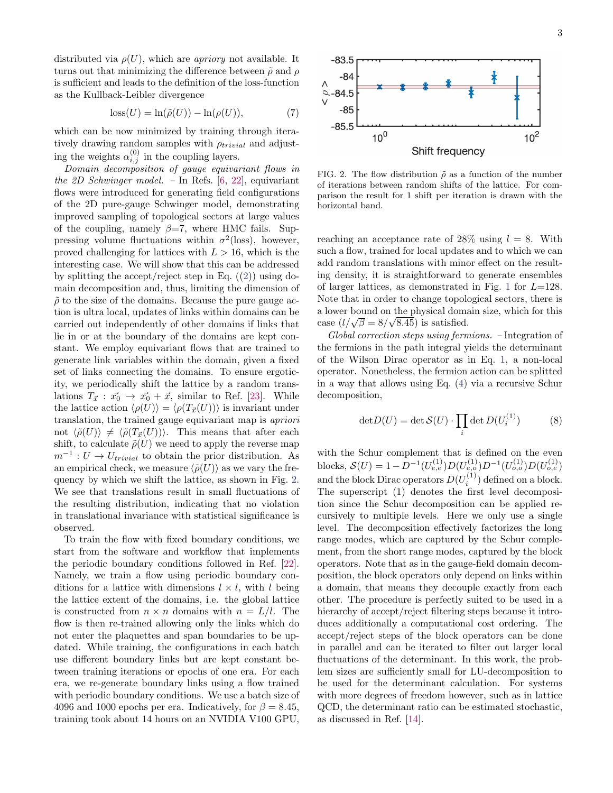distributed via  $\rho(U)$ , which are *apriory* not available. It turns out that minimizing the difference between  $\tilde{\rho}$  and  $\rho$ is sufficient and leads to the definition of the loss-function as the Kullback-Leibler divergence

$$
loss(U) = \ln(\tilde{\rho}(U)) - \ln(\rho(U)),\tag{7}
$$

which can be now minimized by training through iteratively drawing random samples with  $\rho_{trivial}$  and adjusting the weights  $\alpha_{i,j}^{(0)}$  in the coupling layers.

Domain decomposition of gauge equivariant flows in the 2D Schwinger model. – In Refs.  $[6, 22]$  $[6, 22]$  $[6, 22]$ , equivariant flows were introduced for generating field configurations of the 2D pure-gauge Schwinger model, demonstrating improved sampling of topological sectors at large values of the coupling, namely  $\beta = 7$ , where HMC fails. Suppressing volume fluctuations within  $\sigma^2$ (loss), however, proved challenging for lattices with  $L > 16$ , which is the interesting case. We will show that this can be addressed by splitting the accept/reject step in Eq.  $(2)$ ) using domain decomposition and, thus, limiting the dimension of  $\tilde{\rho}$  to the size of the domains. Because the pure gauge action is ultra local, updates of links within domains can be carried out independently of other domains if links that lie in or at the boundary of the domains are kept constant. We employ equivariant flows that are trained to generate link variables within the domain, given a fixed set of links connecting the domains. To ensure ergoticity, we periodically shift the lattice by a random translations  $T_{\vec{x}} : \vec{x_0} \to \vec{x_0} + \vec{x}$ , similar to Ref. [\[23\]](#page-5-20). While the lattice action  $\langle \rho(U) \rangle = \langle \rho(T_{\vec{x}}(U)) \rangle$  is invariant under translation, the trained gauge equivariant map is apriori not  $\langle \tilde{\rho}(U) \rangle \neq \langle \tilde{\rho}(T_{\vec{x}}(U)) \rangle$ . This means that after each shift, to calculate  $\tilde{\rho}(U)$  we need to apply the reverse map  $m^{-1}: U \to U_{trivial}$  to obtain the prior distribution. As an empirical check, we measure  $\langle \tilde{\rho}(U) \rangle$  as we vary the frequency by which we shift the lattice, as shown in Fig. [2.](#page-2-0) We see that translations result in small fluctuations of the resulting distribution, indicating that no violation in translational invariance with statistical significance is observed.

To train the flow with fixed boundary conditions, we start from the software and workflow that implements the periodic boundary conditions followed in Ref. [\[22\]](#page-5-19). Namely, we train a flow using periodic boundary conditions for a lattice with dimensions  $l \times l$ , with l being the lattice extent of the domains, i.e. the global lattice is constructed from  $n \times n$  domains with  $n = L/l$ . The flow is then re-trained allowing only the links which do not enter the plaquettes and span boundaries to be updated. While training, the configurations in each batch use different boundary links but are kept constant between training iterations or epochs of one era. For each era, we re-generate boundary links using a flow trained with periodic boundary conditions. We use a batch size of 4096 and 1000 epochs per era. Indicatively, for  $\beta = 8.45$ , training took about 14 hours on an NVIDIA V100 GPU,



<span id="page-2-0"></span>FIG. 2. The flow distribution  $\tilde{\rho}$  as a function of the number of iterations between random shifts of the lattice. For comparison the result for 1 shift per iteration is drawn with the horizontal band.

reaching an acceptance rate of 28% using  $l = 8$ . With such a flow, trained for local updates and to which we can add random translations with minor effect on the resulting density, it is straightforward to generate ensembles of larger lattices, as demonstrated in Fig. [1](#page-1-0) for  $L=128$ . Note that in order to change topological sectors, there is a lower bound on the physical domain size, which for this √ a lower bound on the physical doma<br>case  $(l/\sqrt{\beta} = 8/\sqrt{8.45})$  is satisfied.

Global correction steps using fermions. – Integration of the fermions in the path integral yields the determinant of the Wilson Dirac operator as in Eq. [1,](#page-0-0) a non-local operator. Nonetheless, the fermion action can be splitted in a way that allows using Eq. [\(4\)](#page-1-2) via a recursive Schur decomposition,

$$
\det D(U) = \det \mathcal{S}(U) \cdot \prod_{i} \det D(U_i^{(1)}) \tag{8}
$$

with the Schur complement that is defined on the even blocks,  $\mathcal{S}(U) = 1 - D^{-1}(U_{e,e}^{(1)})D(U_{e,o}^{(1)})D^{-1}(U_{o,o}^{(1)})D(U_{o,e}^{(1)})$ and the block Dirac operators  $D(U_i^{(1)})$  defined on a block. The superscript (1) denotes the first level decomposition since the Schur decomposition can be applied recursively to multiple levels. Here we only use a single level. The decomposition effectively factorizes the long range modes, which are captured by the Schur complement, from the short range modes, captured by the block operators. Note that as in the gauge-field domain decomposition, the block operators only depend on links within a domain, that means they decouple exactly from each other. The procedure is perfectly suited to be used in a hierarchy of accept/reject filtering steps because it introduces additionally a computational cost ordering. The accept/reject steps of the block operators can be done in parallel and can be iterated to filter out larger local fluctuations of the determinant. In this work, the problem sizes are sufficiently small for LU-decomposition to be used for the determinant calculation. For systems with more degrees of freedom however, such as in lattice QCD, the determinant ratio can be estimated stochastic, as discussed in Ref. [\[14\]](#page-5-12).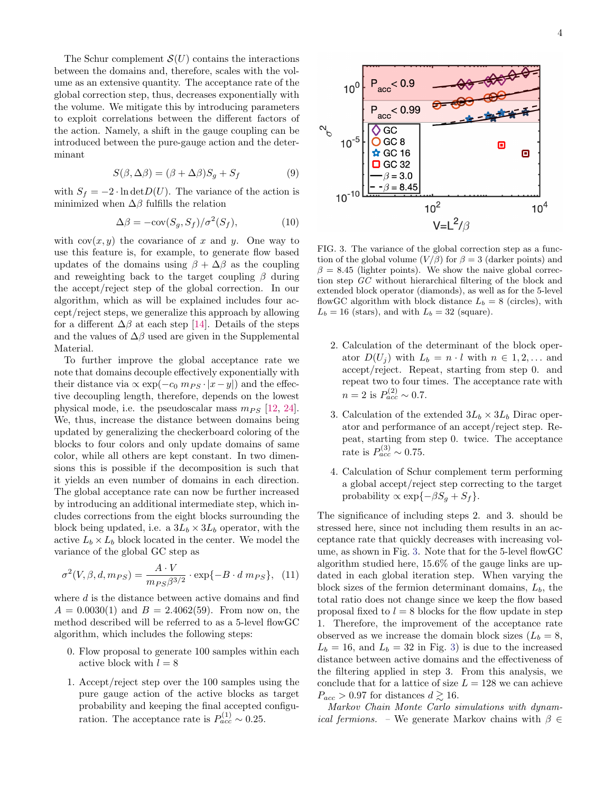The Schur complement  $\mathcal{S}(U)$  contains the interactions between the domains and, therefore, scales with the volume as an extensive quantity. The acceptance rate of the global correction step, thus, decreases exponentially with the volume. We mitigate this by introducing parameters to exploit correlations between the different factors of the action. Namely, a shift in the gauge coupling can be introduced between the pure-gauge action and the determinant

$$
S(\beta, \Delta \beta) = (\beta + \Delta \beta)S_g + S_f \tag{9}
$$

with  $S_f = -2 \cdot \ln \det D(U)$ . The variance of the action is minimized when  $\Delta\beta$  fulfills the relation

$$
\Delta \beta = -\text{cov}(S_g, S_f) / \sigma^2(S_f),\tag{10}
$$

with  $cov(x, y)$  the covariance of x and y. One way to use this feature is, for example, to generate flow based updates of the domains using  $\beta + \Delta\beta$  as the coupling and reweighting back to the target coupling  $\beta$  during the accept/reject step of the global correction. In our algorithm, which as will be explained includes four accept/reject steps, we generalize this approach by allowing for a different  $\Delta\beta$  at each step [\[14\]](#page-5-12). Details of the steps and the values of  $\Delta\beta$  used are given in the Supplemental Material.

To further improve the global acceptance rate we note that domains decouple effectively exponentially with their distance via  $\propto \exp(-c_0 m_{PS} \cdot |x-y|)$  and the effective decoupling length, therefore, depends on the lowest physical mode, i.e. the pseudoscalar mass  $m_{PS}$  [\[12,](#page-5-10) [24\]](#page-5-21). We, thus, increase the distance between domains being updated by generalizing the checkerboard coloring of the blocks to four colors and only update domains of same color, while all others are kept constant. In two dimensions this is possible if the decomposition is such that it yields an even number of domains in each direction. The global acceptance rate can now be further increased by introducing an additional intermediate step, which includes corrections from the eight blocks surrounding the block being updated, i.e. a  $3L_b \times 3L_b$  operator, with the active  $L_b \times L_b$  block located in the center. We model the variance of the global GC step as

$$
\sigma^2(V,\beta,d,m_{PS}) = \frac{A \cdot V}{m_{PS}\beta^{3/2}} \cdot \exp\{-B \cdot d \, m_{PS}\}, \tag{11}
$$

where  $d$  is the distance between active domains and find  $A = 0.0030(1)$  and  $B = 2.4062(59)$ . From now on, the method described will be referred to as a 5-level flowGC algorithm, which includes the following steps:

- 0. Flow proposal to generate 100 samples within each active block with  $l = 8$
- 1. Accept/reject step over the 100 samples using the pure gauge action of the active blocks as target probability and keeping the final accepted configuration. The acceptance rate is  $P_{acc}^{(1)} \sim 0.25$ .



<span id="page-3-0"></span>FIG. 3. The variance of the global correction step as a function of the global volume  $(V/\beta)$  for  $\beta = 3$  (darker points) and  $\beta = 8.45$  (lighter points). We show the naive global correction step GC without hierarchical filtering of the block and extended block operator (diamonds), as well as for the 5-level flowGC algorithm with block distance  $L_b = 8$  (circles), with  $L_b = 16$  (stars), and with  $L_b = 32$  (square).

- 2. Calculation of the determinant of the block operator  $D(U_i)$  with  $L_b = n \cdot l$  with  $n \in {1, 2, \ldots}$  and accept/reject. Repeat, starting from step 0. and repeat two to four times. The acceptance rate with  $n = 2$  is  $P_{acc}^{(2)} \sim 0.7$ .
- 3. Calculation of the extended  $3L_b \times 3L_b$  Dirac operator and performance of an accept/reject step. Repeat, starting from step 0. twice. The acceptance rate is  $P_{acc}^{(3)} \sim 0.75$ .
- 4. Calculation of Schur complement term performing a global accept/reject step correcting to the target probability  $\propto \exp\{-\beta S_q + S_f\}.$

The significance of including steps 2. and 3. should be stressed here, since not including them results in an acceptance rate that quickly decreases with increasing volume, as shown in Fig. [3.](#page-3-0) Note that for the 5-level flowGC algorithm studied here, 15.6% of the gauge links are updated in each global iteration step. When varying the block sizes of the fermion determinant domains,  $L_b$ , the total ratio does not change since we keep the flow based proposal fixed to  $l = 8$  blocks for the flow update in step 1. Therefore, the improvement of the acceptance rate observed as we increase the domain block sizes  $(L_b = 8,$  $L_b = 16$ , and  $L_b = 32$  in Fig. [3\)](#page-3-0) is due to the increased distance between active domains and the effectiveness of the filtering applied in step 3. From this analysis, we conclude that for a lattice of size  $L = 128$  we can achieve  $P_{acc} > 0.97$  for distances  $d \gtrsim 16$ .

Markov Chain Monte Carlo simulations with dynam*ical fermions.* – We generate Markov chains with  $\beta \in$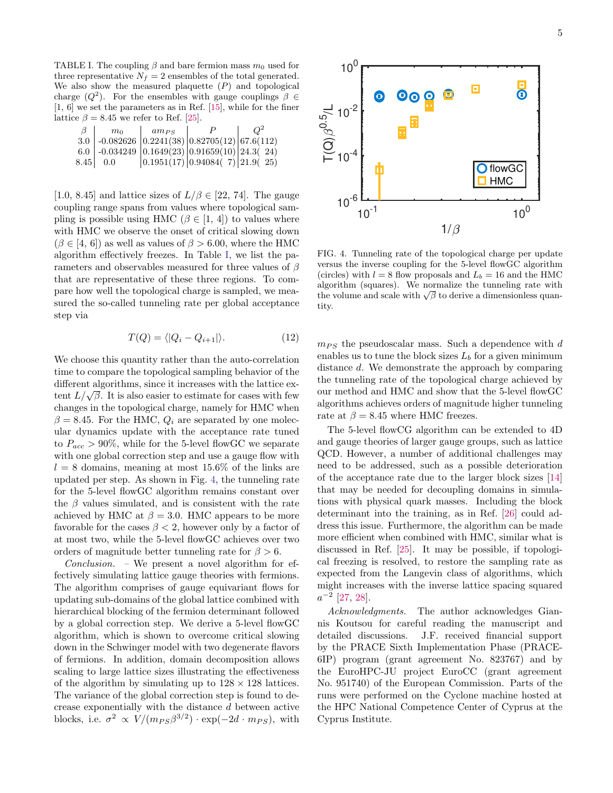<span id="page-4-0"></span>TABLE I. The coupling  $\beta$  and bare fermion mass  $m_0$  used for three representative  $N_f = 2$  ensembles of the total generated. We also show the measured plaquette  $(P)$  and topological charge  $(Q^2)$ . For the ensembles with gauge couplings  $\beta \in$ [1, 6] we set the parameters as in Ref. [\[15\]](#page-5-13), while for the finer lattice  $\beta = 8.45$  we refer to Ref. [\[25\]](#page-5-22).

| m <sub>0</sub> | $am_{PS}$ |                                                                                | Ω <sup>2</sup> |
|----------------|-----------|--------------------------------------------------------------------------------|----------------|
|                |           | 3.0 $\vert$ -0.082626 $\vert$ 0.2241(38) $\vert$ 0.82705(12) $\vert$ 67.6(112) |                |
|                |           | 6.0 $\vert$ -0.034249 $\vert$ 0.1649(23) $\vert$ 0.91659(10) $\vert$ 24.3(24)  |                |
| $8.45$   0.0   |           | 0.1951(17) 0.94084(7) 21.9(25)                                                 |                |

[1.0, 8.45] and lattice sizes of  $L/\beta \in [22, 74]$ . The gauge coupling range spans from values where topological sampling is possible using HMC ( $\beta \in [1, 4]$ ) to values where with HMC we observe the onset of critical slowing down  $(\beta \in [4, 6])$  as well as values of  $\beta > 6.00$ , where the HMC algorithm effectively freezes. In Table [I,](#page-4-0) we list the parameters and observables measured for three values of  $\beta$ that are representative of these three regions. To compare how well the topological charge is sampled, we measured the so-called tunneling rate per global acceptance step via

$$
T(Q) = \langle |Q_i - Q_{i+1}| \rangle.
$$
 (12)

We choose this quantity rather than the auto-correlation time to compare the topological sampling behavior of the different algorithms, since it increases with the lattice exdifferent algorithms, since it increases with the lattice extent  $L/\sqrt{\beta}$ . It is also easier to estimate for cases with few changes in the topological charge, namely for HMC when  $\beta = 8.45$ . For the HMC,  $Q_i$  are separated by one molecular dynamics update with the acceptance rate tuned to  $P_{acc} > 90\%$ , while for the 5-level flowGC we separate with one global correction step and use a gauge flow with  $l = 8$  domains, meaning at most 15.6% of the links are updated per step. As shown in Fig. [4,](#page-4-1) the tunneling rate for the 5-level flowGC algorithm remains constant over the  $\beta$  values simulated, and is consistent with the rate achieved by HMC at  $\beta = 3.0$ . HMC appears to be more favorable for the cases  $\beta$  < 2, however only by a factor of at most two, while the 5-level flowGC achieves over two orders of magnitude better tunneling rate for  $\beta > 6$ .

 $Conclusion. - We present a novel algorithm for ef$ fectively simulating lattice gauge theories with fermions. The algorithm comprises of gauge equivariant flows for updating sub-domains of the global lattice combined with hierarchical blocking of the fermion determinant followed by a global correction step. We derive a 5-level flowGC algorithm, which is shown to overcome critical slowing down in the Schwinger model with two degenerate flavors of fermions. In addition, domain decomposition allows scaling to large lattice sizes illustrating the effectiveness of the algorithm by simulating up to  $128 \times 128$  lattices. The variance of the global correction step is found to decrease exponentially with the distance d between active blocks, i.e.  $\sigma^2 \propto V/(m_{PS}\beta^{3/2}) \cdot \exp(-2d \cdot m_{PS}),$  with



<span id="page-4-1"></span>FIG. 4. Tunneling rate of the topological charge per update versus the inverse coupling for the 5-level flowGC algorithm (circles) with  $l = 8$  flow proposals and  $L_b = 16$  and the HMC algorithm (squares). We normalize the tunneling rate with algorithm (squares). We normalize the tunneling rate with the volume and scale with  $\sqrt{\beta}$  to derive a dimensionless quantity.

 $m_{PS}$  the pseudoscalar mass. Such a dependence with d enables us to tune the block sizes  $L_b$  for a given minimum distance d. We demonstrate the approach by comparing the tunneling rate of the topological charge achieved by our method and HMC and show that the 5-level flowGC algorithms achieves orders of magnitude higher tunneling rate at  $\beta = 8.45$  where HMC freezes.

The 5-level flowCG algorithm can be extended to 4D and gauge theories of larger gauge groups, such as lattice QCD. However, a number of additional challenges may need to be addressed, such as a possible deterioration of the acceptance rate due to the larger block sizes [\[14\]](#page-5-12) that may be needed for decoupling domains in simulations with physical quark masses. Including the block determinant into the training, as in Ref. [\[26\]](#page-5-23) could address this issue. Furthermore, the algorithm can be made more efficient when combined with HMC, similar what is discussed in Ref. [\[25\]](#page-5-22). It may be possible, if topological freezing is resolved, to restore the sampling rate as expected from the Langevin class of algorithms, which might increases with the inverse lattice spacing squared  $a^{-2}$  [\[27,](#page-5-24) [28\]](#page-5-25).

Acknowledgments. The author acknowledges Giannis Koutsou for careful reading the manuscript and detailed discussions. J.F. received financial support by the PRACE Sixth Implementation Phase (PRACE-6IP) program (grant agreement No. 823767) and by the EuroHPC-JU project EuroCC (grant agreement No. 951740) of the European Commission. Parts of the runs were performed on the Cyclone machine hosted at the HPC National Competence Center of Cyprus at the Cyprus Institute.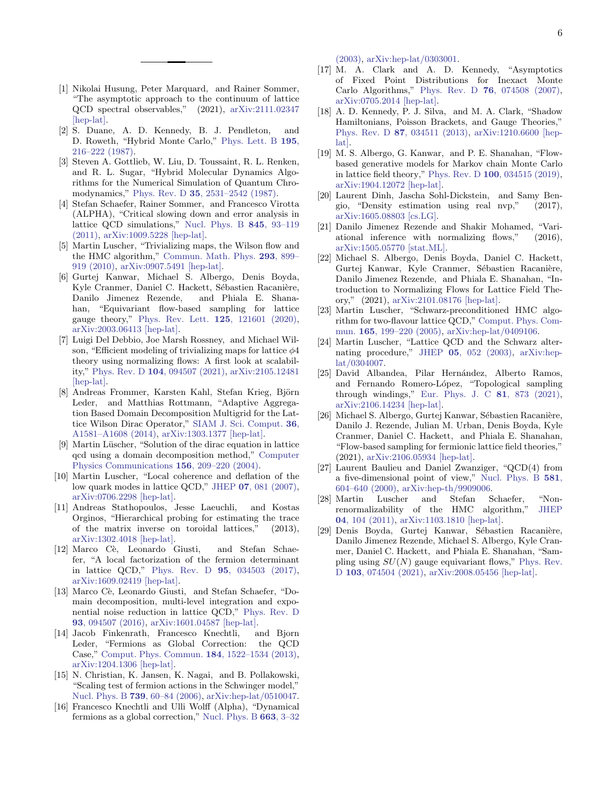- <span id="page-5-0"></span>[1] Nikolai Husung, Peter Marquard, and Rainer Sommer, "The asymptotic approach to the continuum of lattice QCD spectral observables," (2021), [arXiv:2111.02347](http://arxiv.org/abs/2111.02347) [\[hep-lat\].](http://arxiv.org/abs/2111.02347)
- <span id="page-5-1"></span>[2] S. Duane, A. D. Kennedy, B. J. Pendleton, and D. Roweth, "Hybrid Monte Carlo," [Phys. Lett. B](http://dx.doi.org/10.1016/0370-2693(87)91197-X) 195, [216–222 \(1987\).](http://dx.doi.org/10.1016/0370-2693(87)91197-X)
- <span id="page-5-2"></span>[3] Steven A. Gottlieb, W. Liu, D. Toussaint, R. L. Renken, and R. L. Sugar, "Hybrid Molecular Dynamics Algorithms for the Numerical Simulation of Quantum Chromodynamics," Phys. Rev. D 35[, 2531–2542 \(1987\).](http://dx.doi.org/ 10.1103/PhysRevD.35.2531)
- <span id="page-5-3"></span>[4] Stefan Schaefer, Rainer Sommer, and Francesco Virotta (ALPHA), "Critical slowing down and error analysis in lattice QCD simulations," [Nucl. Phys. B](http://dx.doi.org/10.1016/j.nuclphysb.2010.11.020) 845, 93–119 [\(2011\),](http://dx.doi.org/10.1016/j.nuclphysb.2010.11.020) [arXiv:1009.5228 \[hep-lat\].](http://arxiv.org/abs/1009.5228)
- <span id="page-5-4"></span>[5] Martin Luscher, "Trivializing maps, the Wilson flow and the HMC algorithm," [Commun. Math. Phys.](http://dx.doi.org/ 10.1007/s00220-009-0953-7) 293, 899– [919 \(2010\),](http://dx.doi.org/ 10.1007/s00220-009-0953-7) [arXiv:0907.5491 \[hep-lat\].](http://arxiv.org/abs/0907.5491)
- <span id="page-5-5"></span>[6] Gurtej Kanwar, Michael S. Albergo, Denis Boyda, Kyle Cranmer, Daniel C. Hackett, Sébastien Racanière, Danilo Jimenez Rezende, and Phiala E. Shanahan, "Equivariant flow-based sampling for lattice gauge theory," [Phys. Rev. Lett.](http://dx.doi.org/ 10.1103/PhysRevLett.125.121601) 125, 121601 (2020), [arXiv:2003.06413 \[hep-lat\].](http://arxiv.org/abs/2003.06413)
- <span id="page-5-6"></span>[7] Luigi Del Debbio, Joe Marsh Rossney, and Michael Wilson, "Efficient modeling of trivializing maps for lattice  $\phi$ 4 theory using normalizing flows: A first look at scalability," Phys. Rev. D 104[, 094507 \(2021\),](http://dx.doi.org/ 10.1103/PhysRevD.104.094507) [arXiv:2105.12481](http://arxiv.org/abs/2105.12481) [\[hep-lat\].](http://arxiv.org/abs/2105.12481)
- <span id="page-5-7"></span>[8] Andreas Frommer, Karsten Kahl, Stefan Krieg, Björn Leder, and Matthias Rottmann, "Adaptive Aggregation Based Domain Decomposition Multigrid for the Lattice Wilson Dirac Operator," [SIAM J. Sci. Comput.](http://dx.doi.org/10.1137/130919507) 36, [A1581–A1608 \(2014\),](http://dx.doi.org/10.1137/130919507) [arXiv:1303.1377 \[hep-lat\].](http://arxiv.org/abs/1303.1377)
- [9] Martin Lüscher, "Solution of the dirac equation in lattice qcd using a domain decomposition method," [Computer](http://dx.doi.org/10.1016/s0010-4655(03)00486-7) [Physics Communications](http://dx.doi.org/10.1016/s0010-4655(03)00486-7) 156, 209–220 (2004).
- <span id="page-5-8"></span>[10] Martin Luscher, "Local coherence and deflation of the low quark modes in lattice QCD," JHEP 07[, 081 \(2007\),](http://dx.doi.org/10.1088/1126-6708/2007/07/081) [arXiv:0706.2298 \[hep-lat\].](http://arxiv.org/abs/0706.2298)
- <span id="page-5-9"></span>[11] Andreas Stathopoulos, Jesse Laeuchli, and Kostas Orginos, "Hierarchical probing for estimating the trace of the matrix inverse on toroidal lattices," (2013), [arXiv:1302.4018 \[hep-lat\].](http://arxiv.org/abs/1302.4018)
- <span id="page-5-10"></span>[12] Marco Cè, Leonardo Giusti, and Stefan Schaefer, "A local factorization of the fermion determinant in lattice QCD," Phys. Rev. D 95[, 034503 \(2017\),](http://dx.doi.org/ 10.1103/PhysRevD.95.034503) [arXiv:1609.02419 \[hep-lat\].](http://arxiv.org/abs/1609.02419)
- <span id="page-5-11"></span>[13] Marco Cè, Leonardo Giusti, and Stefan Schaefer, "Domain decomposition, multi-level integration and exponential noise reduction in lattice QCD," [Phys. Rev. D](http://dx.doi.org/10.1103/PhysRevD.93.094507) 93[, 094507 \(2016\),](http://dx.doi.org/10.1103/PhysRevD.93.094507) [arXiv:1601.04587 \[hep-lat\].](http://arxiv.org/abs/1601.04587)
- <span id="page-5-12"></span>[14] Jacob Finkenrath, Francesco Knechtli, and Bjorn Leder, "Fermions as Global Correction: the QCD Case," [Comput. Phys. Commun.](http://dx.doi.org/ 10.1016/j.cpc.2013.01.020) 184, 1522–1534 (2013), [arXiv:1204.1306 \[hep-lat\].](http://arxiv.org/abs/1204.1306)
- <span id="page-5-13"></span>[15] N. Christian, K. Jansen, K. Nagai, and B. Pollakowski, "Scaling test of fermion actions in the Schwinger model," Nucl. Phys. B 739[, 60–84 \(2006\),](http://dx.doi.org/10.1016/j.nuclphysb.2006.01.029) [arXiv:hep-lat/0510047.](http://arxiv.org/abs/hep-lat/0510047)
- <span id="page-5-14"></span>[16] Francesco Knechtli and Ulli Wolff (Alpha), "Dynamical fermions as a global correction," [Nucl. Phys. B](http://dx.doi.org/10.1016/S0550-3213(03)00369-9) 663, 3–32

[\(2003\),](http://dx.doi.org/10.1016/S0550-3213(03)00369-9) [arXiv:hep-lat/0303001.](http://arxiv.org/abs/hep-lat/0303001)

- <span id="page-5-15"></span>[17] M. A. Clark and A. D. Kennedy, "Asymptotics of Fixed Point Distributions for Inexact Monte Carlo Algorithms," Phys. Rev. D 76[, 074508 \(2007\),](http://dx.doi.org/10.1103/PhysRevD.76.074508) [arXiv:0705.2014 \[hep-lat\].](http://arxiv.org/abs/0705.2014)
- <span id="page-5-16"></span>[18] A. D. Kennedy, P. J. Silva, and M. A. Clark, "Shadow Hamiltonians, Poisson Brackets, and Gauge Theories," Phys. Rev. D 87[, 034511 \(2013\),](http://dx.doi.org/ 10.1103/PhysRevD.87.034511) [arXiv:1210.6600 \[hep](http://arxiv.org/abs/1210.6600)[lat\].](http://arxiv.org/abs/1210.6600)
- <span id="page-5-17"></span>[19] M. S. Albergo, G. Kanwar, and P. E. Shanahan, "Flowbased generative models for Markov chain Monte Carlo in lattice field theory," Phys. Rev. D 100[, 034515 \(2019\),](http://dx.doi.org/10.1103/PhysRevD.100.034515) [arXiv:1904.12072 \[hep-lat\].](http://arxiv.org/abs/1904.12072)
- [20] Laurent Dinh, Jascha Sohl-Dickstein, and Samy Bengio, "Density estimation using real nvp," (2017), [arXiv:1605.08803 \[cs.LG\].](http://arxiv.org/abs/1605.08803)
- <span id="page-5-18"></span>[21] Danilo Jimenez Rezende and Shakir Mohamed, "Variational inference with normalizing flows," (2016), [arXiv:1505.05770 \[stat.ML\].](http://arxiv.org/abs/1505.05770)
- <span id="page-5-19"></span>[22] Michael S. Albergo, Denis Boyda, Daniel C. Hackett, Gurtej Kanwar, Kyle Cranmer, Sébastien Racanière, Danilo Jimenez Rezende, and Phiala E. Shanahan, "Introduction to Normalizing Flows for Lattice Field Theory," (2021), [arXiv:2101.08176 \[hep-lat\].](http://arxiv.org/abs/2101.08176)
- <span id="page-5-20"></span>[23] Martin Luscher, "Schwarz-preconditioned HMC algorithm for two-flavour lattice QCD," [Comput. Phys. Com](http://dx.doi.org/10.1016/j.cpc.2004.10.004)mun. 165[, 199–220 \(2005\),](http://dx.doi.org/10.1016/j.cpc.2004.10.004) [arXiv:hep-lat/0409106.](http://arxiv.org/abs/hep-lat/0409106)
- <span id="page-5-21"></span>[24] Martin Luscher, "Lattice QCD and the Schwarz alternating procedure," JHEP 05[, 052 \(2003\),](http://dx.doi.org/ 10.1088/1126-6708/2003/05/052) [arXiv:hep](http://arxiv.org/abs/hep-lat/0304007)[lat/0304007.](http://arxiv.org/abs/hep-lat/0304007)
- <span id="page-5-22"></span>[25] David Albandea, Pilar Hernández, Alberto Ramos, and Fernando Romero-López, "Topological sampling through windings," [Eur. Phys. J. C](http://dx.doi.org/ 10.1140/epjc/s10052-021-09677-6) 81, 873 (2021), [arXiv:2106.14234 \[hep-lat\].](http://arxiv.org/abs/2106.14234)
- <span id="page-5-23"></span>[26] Michael S. Albergo, Gurtej Kanwar, Sébastien Racanière, Danilo J. Rezende, Julian M. Urban, Denis Boyda, Kyle Cranmer, Daniel C. Hackett, and Phiala E. Shanahan, "Flow-based sampling for fermionic lattice field theories," (2021), [arXiv:2106.05934 \[hep-lat\].](http://arxiv.org/abs/2106.05934)
- <span id="page-5-24"></span>[27] Laurent Baulieu and Daniel Zwanziger, "QCD(4) from a five-dimensional point of view," [Nucl. Phys. B](http://dx.doi.org/ 10.1016/S0550-3213(00)00176-0) 581, [604–640 \(2000\),](http://dx.doi.org/ 10.1016/S0550-3213(00)00176-0) [arXiv:hep-th/9909006.](http://arxiv.org/abs/hep-th/9909006)
- <span id="page-5-25"></span>[28] Martin Luscher and Stefan Schaefer, "Nonrenormalizability of the HMC algorithm," [JHEP](http://dx.doi.org/ 10.1007/JHEP04(2011)104) 04[, 104 \(2011\),](http://dx.doi.org/ 10.1007/JHEP04(2011)104) [arXiv:1103.1810 \[hep-lat\].](http://arxiv.org/abs/1103.1810)
- <span id="page-5-26"></span>[29] Denis Boyda, Gurtej Kanwar, Sébastien Racanière, Danilo Jimenez Rezende, Michael S. Albergo, Kyle Cranmer, Daniel C. Hackett, and Phiala E. Shanahan, "Sampling using  $SU(N)$  gauge equivariant flows," [Phys. Rev.](http://dx.doi.org/10.1103/PhysRevD.103.074504) D 103[, 074504 \(2021\),](http://dx.doi.org/10.1103/PhysRevD.103.074504) [arXiv:2008.05456 \[hep-lat\].](http://arxiv.org/abs/2008.05456)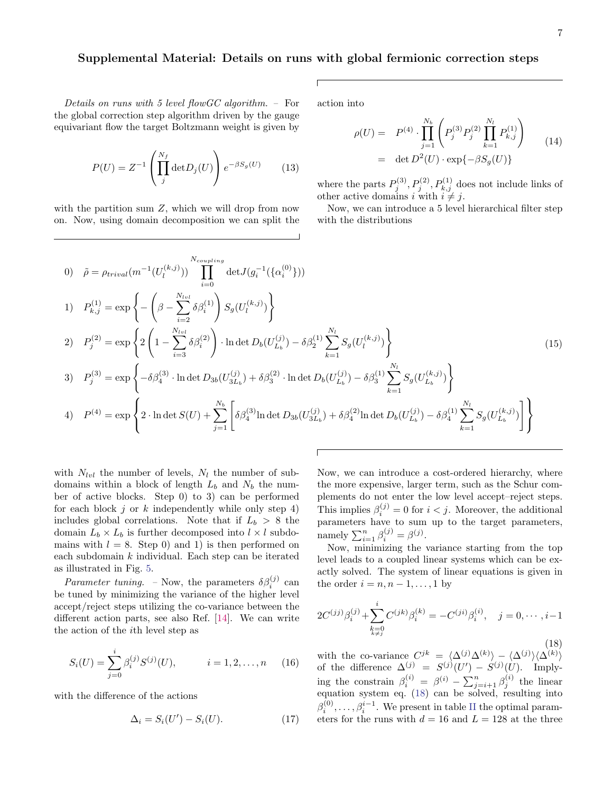## Supplemental Material: Details on runs with global fermionic correction steps

Details on runs with 5 level flowGC algorithm. – For the global correction step algorithm driven by the gauge equivariant flow the target Boltzmann weight is given by

$$
P(U) = Z^{-1} \left( \prod_{j}^{N_f} \det D_j(U) \right) e^{-\beta S_g(U)} \qquad (13)
$$

with the partition sum  $Z$ , which we will drop from now on. Now, using domain decomposition we can split the action into

$$
\rho(U) = P^{(4)} \cdot \prod_{j=1}^{N_b} \left( P_j^{(3)} P_j^{(2)} \prod_{k=1}^{N_l} P_{k,j}^{(1)} \right)
$$
  
= det  $D^2(U) \cdot \exp{\{-\beta S_g(U)\}}$  (14)

where the parts  $P_j^{(3)}, P_j^{(2)}, P_{k,j}^{(1)}$  does not include links of other active domains i with  $i \neq j$ .

Now, we can introduce a 5 level hierarchical filter step with the distributions

0) 
$$
\tilde{\rho} = \rho_{trivial}(m^{-1}(U_l^{(k,j)})) \prod_{i=0}^{N_{coupling}} \det J(g_i^{-1}(\{\alpha_i^{(0)}\}))
$$
  
\n1)  $P_{k,j}^{(1)} = \exp \left\{ -\left(\beta - \sum_{i=2}^{N_{lvl}} \delta \beta_i^{(1)}\right) S_g(U_l^{(k,j)}) \right\}$   
\n2)  $P_j^{(2)} = \exp \left\{ 2\left(1 - \sum_{i=3}^{N_{lvl}} \delta \beta_i^{(2)}\right) \cdot \ln \det D_b(U_{L_b}^{(j)}) - \delta \beta_2^{(1)} \sum_{k=1}^{N_l} S_g(U_l^{(k,j)}) \right\}$   
\n3)  $P_j^{(3)} = \exp \left\{ -\delta \beta_4^{(3)} \cdot \ln \det D_{3b}(U_{3L_b}^{(j)}) + \delta \beta_3^{(2)} \cdot \ln \det D_b(U_{L_b}^{(j)}) - \delta \beta_3^{(1)} \sum_{k=1}^{N_l} S_g(U_{L_b}^{(k,j)}) \right\}$   
\n4)  $P^{(4)} = \exp \left\{ 2 \cdot \ln \det S(U) + \sum_{j=1}^{N_b} \left[ \delta \beta_4^{(3)} \ln \det D_{3b}(U_{3L_b}^{(j)}) + \delta \beta_4^{(2)} \ln \det D_b(U_{L_b}^{(j)}) - \delta \beta_4^{(1)} \sum_{k=1}^{N_l} S_g(U_{L_b}^{(k,j)}) \right] \right\}$  (15)

with  $N_{lvl}$  the number of levels,  $N_l$  the number of subdomains within a block of length  $L_b$  and  $N_b$  the number of active blocks. Step 0) to 3) can be performed for each block  $j$  or  $k$  independently while only step 4) includes global correlations. Note that if  $L_b > 8$  the domain  $L_b \times L_b$  is further decomposed into  $l \times l$  subdomains with  $l = 8$ . Step 0) and 1) is then performed on each subdomain  $k$  individual. Each step can be iterated as illustrated in Fig. [5.](#page-7-0)

*Parameter tuning.* - Now, the parameters  $\delta \beta_i^{(j)}$  can be tuned by minimizing the variance of the higher level accept/reject steps utilizing the co-variance between the different action parts, see also Ref. [\[14\]](#page-5-12). We can write the action of the ith level step as

$$
S_i(U) = \sum_{j=0}^i \beta_i^{(j)} S^{(j)}(U), \qquad i = 1, 2, \dots, n \quad (16)
$$

with the difference of the actions

$$
\Delta_i = S_i(U') - S_i(U). \tag{17}
$$

Now, we can introduce a cost-ordered hierarchy, where the more expensive, larger term, such as the Schur complements do not enter the low level accept–reject steps. This implies  $\beta_i^{(j)} = 0$  for  $i < j$ . Moreover, the additional parameters have to sum up to the target parameters, namely  $\sum_{i=1}^{n} \beta_i^{(j)} = \beta^{(j)}$ .

Now, minimizing the variance starting from the top level leads to a coupled linear systems which can be exactly solved. The system of linear equations is given in the order  $i = n, n - 1, \ldots, 1$  by

<span id="page-6-0"></span>
$$
2C^{(jj)}\beta_i^{(j)} + \sum_{\substack{k=0\\k\neq j}}^i C^{(jk)}\beta_i^{(k)} = -C^{(ji)}\beta_i^{(i)}, \quad j = 0, \cdots, i-1
$$

(18) with the co-variance  $C^{jk} = \langle \Delta^{(j)} \Delta^{(k)} \rangle - \langle \Delta^{(j)} \rangle \langle \Delta^{(k)} \rangle$ of the difference  $\Delta^{(j)} = S^{(j)}(U') - S^{(j)}(U)$ . Implying the constrain  $\beta_i^{(i)} = \beta^{(i)} - \sum_{j=i+1}^n \beta_j^{(i)}$  the linear equation system eq. [\(18\)](#page-6-0) can be solved, resulting into  $\beta_i^{(0)}, \ldots, \beta_i^{i-1}$ . We present in table [II](#page-8-0) the optimal parameters for the runs with  $d = 16$  and  $L = 128$  at the three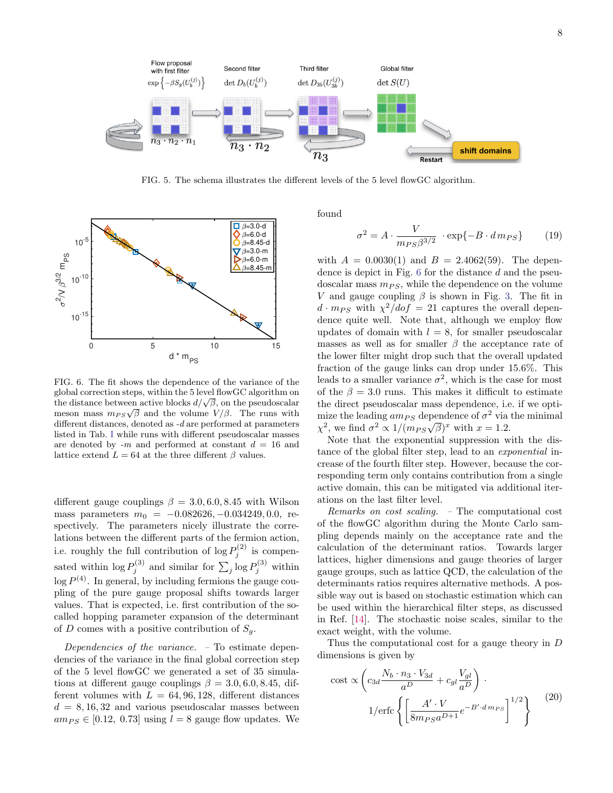

<span id="page-7-0"></span>FIG. 5. The schema illustrates the different levels of the 5 level flowGC algorithm.



<span id="page-7-1"></span>FIG. 6. The fit shows the dependence of the variance of the global correction steps, within the 5 level flowGC algorithm on giobal correction steps, within the 5 level how GC algorithm on<br>the distance between active blocks  $d/\sqrt{\beta}$ , on the pseudoscalar the distance between active blocks  $a/\sqrt{p}$ , on the pseudoscalar meson mass  $m_{PS}\sqrt{\beta}$  and the volume  $V/\beta$ . The runs with different distances, denoted as  $-d$  are performed at parameters listed in Tab. [I](#page-4-0) while runs with different pseudoscalar masses are denoted by  $-m$  and performed at constant  $d = 16$  and lattice extend  $L = 64$  at the three different  $\beta$  values.

different gauge couplings  $\beta = 3.0, 6.0, 8.45$  with Wilson mass parameters  $m_0 = -0.082626, -0.034249, 0.0$ , respectively. The parameters nicely illustrate the correlations between the different parts of the fermion action, i.e. roughly the full contribution of  $\log P_j^{(2)}$  is compensated within  $\log P_j^{(3)}$  and similar for  $\sum_j \log P_j^{(3)}$  within  $\log P^{(4)}$ . In general, by including fermions the gauge coupling of the pure gauge proposal shifts towards larger values. That is expected, i.e. first contribution of the socalled hopping parameter expansion of the determinant of D comes with a positive contribution of  $S_q$ .

Dependencies of the variance. – To estimate dependencies of the variance in the final global correction step of the 5 level flowGC we generated a set of 35 simulations at different gauge couplings  $\beta = 3.0, 6.0, 8.45,$  different volumes with  $L = 64, 96, 128$ , different distances  $d = 8, 16, 32$  and various pseudoscalar masses between  $am_{PS} \in [0.12, 0.73]$  using  $l = 8$  gauge flow updates. We found

$$
\sigma^2 = A \cdot \frac{V}{m_{PS} \beta^{3/2}} \cdot \exp\{-B \cdot d m_{PS}\} \tag{19}
$$

with  $A = 0.0030(1)$  and  $B = 2.4062(59)$ . The dependence is depict in Fig. [6](#page-7-1) for the distance d and the pseudoscalar mass  $m_{PS}$ , while the dependence on the volume V and gauge coupling  $\beta$  is shown in Fig. [3.](#page-3-0) The fit in  $d \cdot m_{PS}$  with  $\chi^2/dof = 21$  captures the overall dependence quite well. Note that, although we employ flow updates of domain with  $l = 8$ , for smaller pseudoscalar masses as well as for smaller  $\beta$  the acceptance rate of the lower filter might drop such that the overall updated fraction of the gauge links can drop under 15.6%. This leads to a smaller variance  $\sigma^2$ , which is the case for most of the  $\beta = 3.0$  runs. This makes it difficult to estimate the direct pseudoscalar mass dependence, i.e. if we optimize the leading  $am_{PS}$  dependence of  $\sigma^2$  via the minimal mize the leading  $\dim_{PS}$  dependence of  $\sigma$ -via  $\chi^2$ , we find  $\sigma^2 \propto 1/(m_{PS}\sqrt{\beta})^x$  with  $x = 1.2$ .

Note that the exponential suppression with the distance of the global filter step, lead to an exponential increase of the fourth filter step. However, because the corresponding term only contains contribution from a single active domain, this can be mitigated via additional iterations on the last filter level.

Remarks on cost scaling. – The computational cost of the flowGC algorithm during the Monte Carlo sampling depends mainly on the acceptance rate and the calculation of the determinant ratios. Towards larger lattices, higher dimensions and gauge theories of larger gauge groups, such as lattice QCD, the calculation of the determinants ratios requires alternative methods. A possible way out is based on stochastic estimation which can be used within the hierarchical filter steps, as discussed in Ref. [\[14\]](#page-5-12). The stochastic noise scales, similar to the exact weight, with the volume.

Thus the computational cost for a gauge theory in D dimensions is given by

cost 
$$
\propto \left( c_{3d} \frac{N_b \cdot n_3 \cdot V_{3d}}{a^D} + c_{gl} \frac{V_{gl}}{a^D} \right) \cdot
$$
  
1/erfc  $\left\{ \left[ \frac{A' \cdot V}{8m_{PS} a^{D+1}} e^{-B' \cdot d m_{PS}} \right]^{1/2} \right\}$  (20)